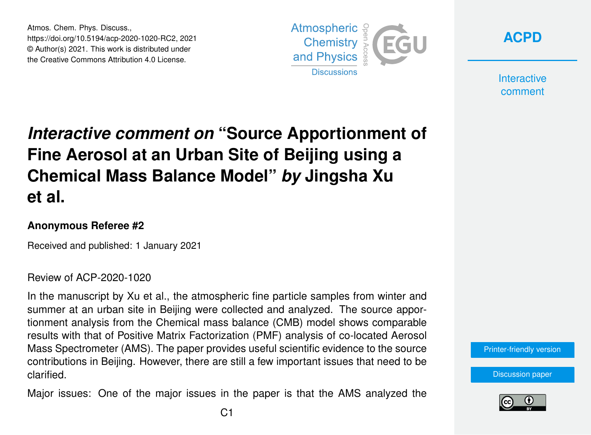Atmos. Chem. Phys. Discuss., https://doi.org/10.5194/acp-2020-1020-RC2, 2021 © Author(s) 2021. This work is distributed under the Creative Commons Attribution 4.0 License.



**[ACPD](https://acp.copernicus.org/preprints/)**

**Interactive** comment

## *Interactive comment on* **"Source Apportionment of Fine Aerosol at an Urban Site of Beijing using a Chemical Mass Balance Model"** *by* **Jingsha Xu et al.**

## **Anonymous Referee #2**

Received and published: 1 January 2021

## Review of ACP-2020-1020

In the manuscript by Xu et al., the atmospheric fine particle samples from winter and summer at an urban site in Beijing were collected and analyzed. The source apportionment analysis from the Chemical mass balance (CMB) model shows comparable results with that of Positive Matrix Factorization (PMF) analysis of co-located Aerosol Mass Spectrometer (AMS). The paper provides useful scientific evidence to the source contributions in Beijing. However, there are still a few important issues that need to be clarified.

Major issues: One of the major issues in the paper is that the AMS analyzed the

[Printer-friendly version](https://acp.copernicus.org/preprints/acp-2020-1020/acp-2020-1020-RC2-print.pdf)

[Discussion paper](https://acp.copernicus.org/preprints/acp-2020-1020)

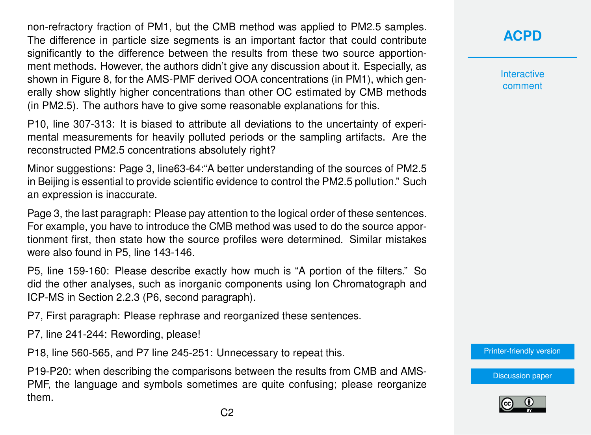non-refractory fraction of PM1, but the CMB method was applied to PM2.5 samples. The difference in particle size segments is an important factor that could contribute significantly to the difference between the results from these two source apportionment methods. However, the authors didn't give any discussion about it. Especially, as shown in Figure 8, for the AMS-PMF derived OOA concentrations (in PM1), which generally show slightly higher concentrations than other OC estimated by CMB methods (in PM2.5). The authors have to give some reasonable explanations for this.

P10, line 307-313: It is biased to attribute all deviations to the uncertainty of experimental measurements for heavily polluted periods or the sampling artifacts. Are the reconstructed PM2.5 concentrations absolutely right?

Minor suggestions: Page 3, line63-64:"A better understanding of the sources of PM2.5 in Beijing is essential to provide scientific evidence to control the PM2.5 pollution." Such an expression is inaccurate.

Page 3, the last paragraph: Please pay attention to the logical order of these sentences. For example, you have to introduce the CMB method was used to do the source apportionment first, then state how the source profiles were determined. Similar mistakes were also found in P5, line 143-146.

P5, line 159-160: Please describe exactly how much is "A portion of the filters." So did the other analyses, such as inorganic components using Ion Chromatograph and ICP-MS in Section 2.2.3 (P6, second paragraph).

P7, First paragraph: Please rephrase and reorganized these sentences.

P7, line 241-244: Rewording, please!

P18, line 560-565, and P7 line 245-251: Unnecessary to repeat this.

P19-P20: when describing the comparisons between the results from CMB and AMS-PMF, the language and symbols sometimes are quite confusing; please reorganize them.

**[ACPD](https://acp.copernicus.org/preprints/)**

**Interactive** comment

[Printer-friendly version](https://acp.copernicus.org/preprints/acp-2020-1020/acp-2020-1020-RC2-print.pdf)

[Discussion paper](https://acp.copernicus.org/preprints/acp-2020-1020)